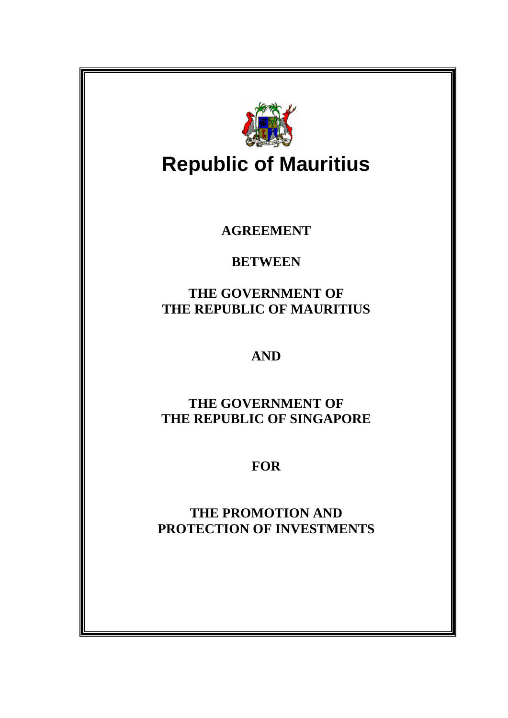

# **Republic of Mauritius**

**AGREEMENT** 

**BETWEEN** 

**THE GOVERNMENT OF THE REPUBLIC OF MAURITIUS** 

**AND** 

**THE GOVERNMENT OF THE REPUBLIC OF SINGAPORE** 

**FOR** 

**THE PROMOTION AND PROTECTION OF INVESTMENTS**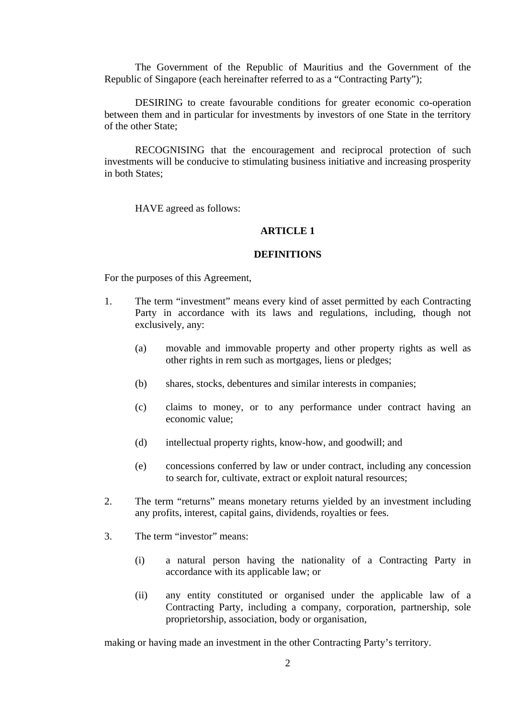The Government of the Republic of Mauritius and the Government of the Republic of Singapore (each hereinafter referred to as a "Contracting Party");

DESIRING to create favourable conditions for greater economic co-operation between them and in particular for investments by investors of one State in the territory of the other State;

RECOGNISING that the encouragement and reciprocal protection of such investments will be conducive to stimulating business initiative and increasing prosperity in both States;

HAVE agreed as follows:

# **ARTICLE 1**

## **DEFINITIONS**

For the purposes of this Agreement,

- 1. The term "investment" means every kind of asset permitted by each Contracting Party in accordance with its laws and regulations, including, though not exclusively, any:
	- (a) movable and immovable property and other property rights as well as other rights in rem such as mortgages, liens or pledges;
	- (b) shares, stocks, debentures and similar interests in companies;
	- (c) claims to money, or to any performance under contract having an economic value;
	- (d) intellectual property rights, know-how, and goodwill; and
	- (e) concessions conferred by law or under contract, including any concession to search for, cultivate, extract or exploit natural resources;
- 2. The term "returns" means monetary returns yielded by an investment including any profits, interest, capital gains, dividends, royalties or fees.
- 3. The term "investor" means:
	- (i) a natural person having the nationality of a Contracting Party in accordance with its applicable law; or
	- (ii) any entity constituted or organised under the applicable law of a Contracting Party, including a company, corporation, partnership, sole proprietorship, association, body or organisation,

making or having made an investment in the other Contracting Party's territory.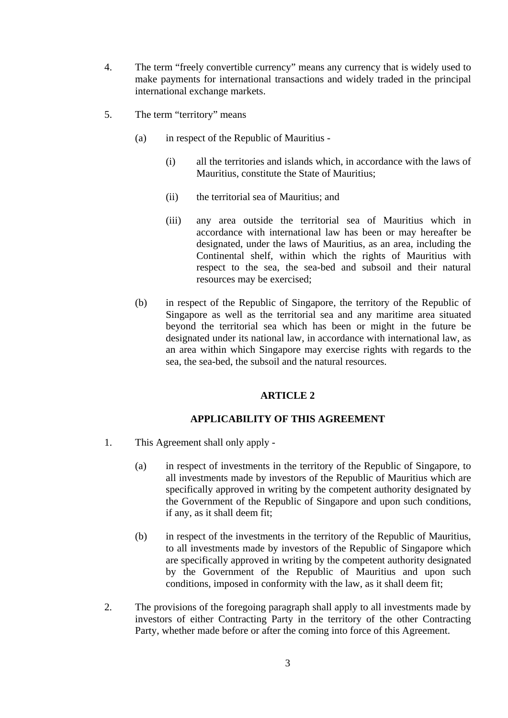- 4. The term "freely convertible currency" means any currency that is widely used to make payments for international transactions and widely traded in the principal international exchange markets.
- 5. The term "territory" means
	- (a) in respect of the Republic of Mauritius
		- (i) all the territories and islands which, in accordance with the laws of Mauritius, constitute the State of Mauritius;
		- (ii) the territorial sea of Mauritius; and
		- (iii) any area outside the territorial sea of Mauritius which in accordance with international law has been or may hereafter be designated, under the laws of Mauritius, as an area, including the Continental shelf, within which the rights of Mauritius with respect to the sea, the sea-bed and subsoil and their natural resources may be exercised;
	- (b) in respect of the Republic of Singapore, the territory of the Republic of Singapore as well as the territorial sea and any maritime area situated beyond the territorial sea which has been or might in the future be designated under its national law, in accordance with international law, as an area within which Singapore may exercise rights with regards to the sea, the sea-bed, the subsoil and the natural resources.

# **APPLICABILITY OF THIS AGREEMENT**

- 1. This Agreement shall only apply
	- (a) in respect of investments in the territory of the Republic of Singapore, to all investments made by investors of the Republic of Mauritius which are specifically approved in writing by the competent authority designated by the Government of the Republic of Singapore and upon such conditions, if any, as it shall deem fit;
	- (b) in respect of the investments in the territory of the Republic of Mauritius, to all investments made by investors of the Republic of Singapore which are specifically approved in writing by the competent authority designated by the Government of the Republic of Mauritius and upon such conditions, imposed in conformity with the law, as it shall deem fit;
- 2. The provisions of the foregoing paragraph shall apply to all investments made by investors of either Contracting Party in the territory of the other Contracting Party, whether made before or after the coming into force of this Agreement.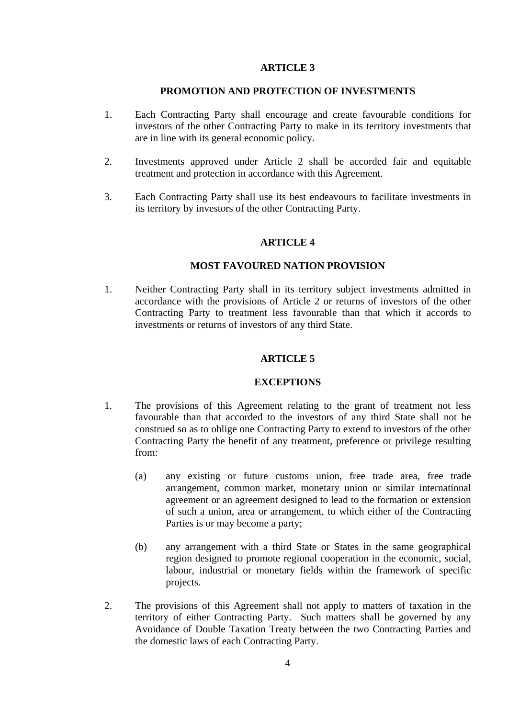## **PROMOTION AND PROTECTION OF INVESTMENTS**

- 1. Each Contracting Party shall encourage and create favourable conditions for investors of the other Contracting Party to make in its territory investments that are in line with its general economic policy.
- 2. Investments approved under Article 2 shall be accorded fair and equitable treatment and protection in accordance with this Agreement.
- 3. Each Contracting Party shall use its best endeavours to facilitate investments in its territory by investors of the other Contracting Party.

## **ARTICLE 4**

## **MOST FAVOURED NATION PROVISION**

1. Neither Contracting Party shall in its territory subject investments admitted in accordance with the provisions of Article 2 or returns of investors of the other Contracting Party to treatment less favourable than that which it accords to investments or returns of investors of any third State.

#### **ARTICLE 5**

# **EXCEPTIONS**

- 1. The provisions of this Agreement relating to the grant of treatment not less favourable than that accorded to the investors of any third State shall not be construed so as to oblige one Contracting Party to extend to investors of the other Contracting Party the benefit of any treatment, preference or privilege resulting from:
	- (a) any existing or future customs union, free trade area, free trade arrangement, common market, monetary union or similar international agreement or an agreement designed to lead to the formation or extension of such a union, area or arrangement, to which either of the Contracting Parties is or may become a party;
	- (b) any arrangement with a third State or States in the same geographical region designed to promote regional cooperation in the economic, social, labour, industrial or monetary fields within the framework of specific projects.
- 2. The provisions of this Agreement shall not apply to matters of taxation in the territory of either Contracting Party. Such matters shall be governed by any Avoidance of Double Taxation Treaty between the two Contracting Parties and the domestic laws of each Contracting Party.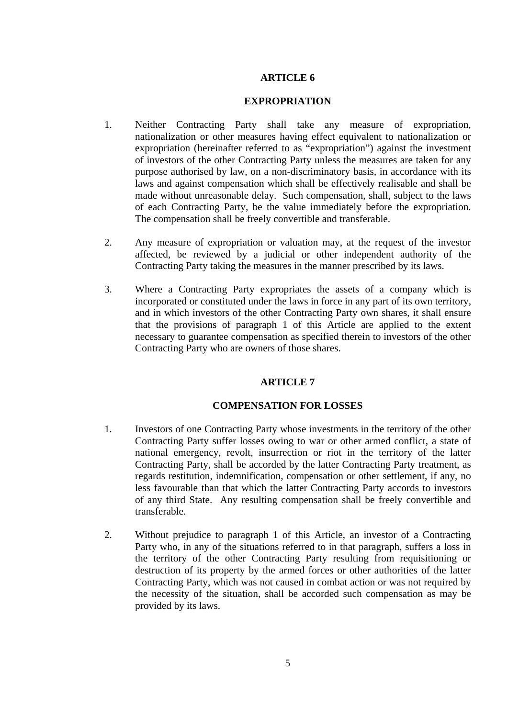# **EXPROPRIATION**

- 1. Neither Contracting Party shall take any measure of expropriation, nationalization or other measures having effect equivalent to nationalization or expropriation (hereinafter referred to as "expropriation") against the investment of investors of the other Contracting Party unless the measures are taken for any purpose authorised by law, on a non-discriminatory basis, in accordance with its laws and against compensation which shall be effectively realisable and shall be made without unreasonable delay. Such compensation, shall, subject to the laws of each Contracting Party, be the value immediately before the expropriation. The compensation shall be freely convertible and transferable.
- 2. Any measure of expropriation or valuation may, at the request of the investor affected, be reviewed by a judicial or other independent authority of the Contracting Party taking the measures in the manner prescribed by its laws.
- 3. Where a Contracting Party expropriates the assets of a company which is incorporated or constituted under the laws in force in any part of its own territory, and in which investors of the other Contracting Party own shares, it shall ensure that the provisions of paragraph 1 of this Article are applied to the extent necessary to guarantee compensation as specified therein to investors of the other Contracting Party who are owners of those shares.

# **ARTICLE 7**

## **COMPENSATION FOR LOSSES**

- 1. Investors of one Contracting Party whose investments in the territory of the other Contracting Party suffer losses owing to war or other armed conflict, a state of national emergency, revolt, insurrection or riot in the territory of the latter Contracting Party, shall be accorded by the latter Contracting Party treatment, as regards restitution, indemnification, compensation or other settlement, if any, no less favourable than that which the latter Contracting Party accords to investors of any third State. Any resulting compensation shall be freely convertible and transferable.
- 2. Without prejudice to paragraph 1 of this Article, an investor of a Contracting Party who, in any of the situations referred to in that paragraph, suffers a loss in the territory of the other Contracting Party resulting from requisitioning or destruction of its property by the armed forces or other authorities of the latter Contracting Party, which was not caused in combat action or was not required by the necessity of the situation, shall be accorded such compensation as may be provided by its laws.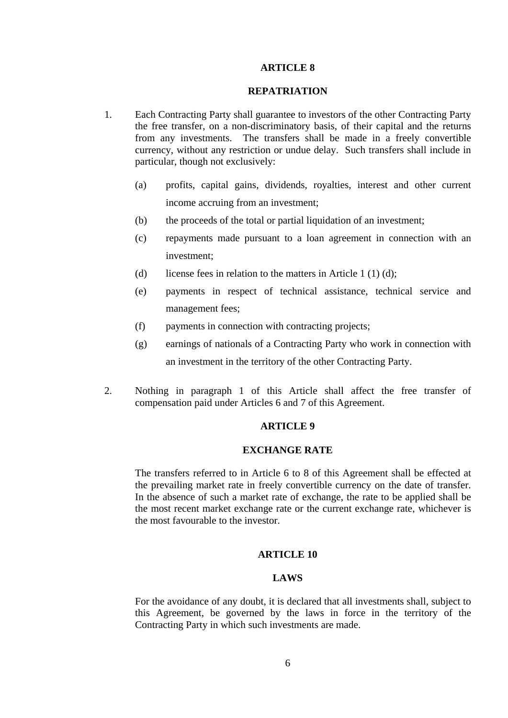#### **REPATRIATION**

- 1. Each Contracting Party shall guarantee to investors of the other Contracting Party the free transfer, on a non-discriminatory basis, of their capital and the returns from any investments. The transfers shall be made in a freely convertible currency, without any restriction or undue delay. Such transfers shall include in particular, though not exclusively:
	- (a) profits, capital gains, dividends, royalties, interest and other current income accruing from an investment;
	- (b) the proceeds of the total or partial liquidation of an investment;
	- (c) repayments made pursuant to a loan agreement in connection with an investment;
	- (d) license fees in relation to the matters in Article 1 (1) (d);
	- (e) payments in respect of technical assistance, technical service and management fees;
	- (f) payments in connection with contracting projects;
	- (g) earnings of nationals of a Contracting Party who work in connection with an investment in the territory of the other Contracting Party.
- 2. Nothing in paragraph 1 of this Article shall affect the free transfer of compensation paid under Articles 6 and 7 of this Agreement.

## **ARTICLE 9**

#### **EXCHANGE RATE**

 The transfers referred to in Article 6 to 8 of this Agreement shall be effected at the prevailing market rate in freely convertible currency on the date of transfer. In the absence of such a market rate of exchange, the rate to be applied shall be the most recent market exchange rate or the current exchange rate, whichever is the most favourable to the investor.

# **ARTICLE 10**

# **LAWS**

 For the avoidance of any doubt, it is declared that all investments shall, subject to this Agreement, be governed by the laws in force in the territory of the Contracting Party in which such investments are made.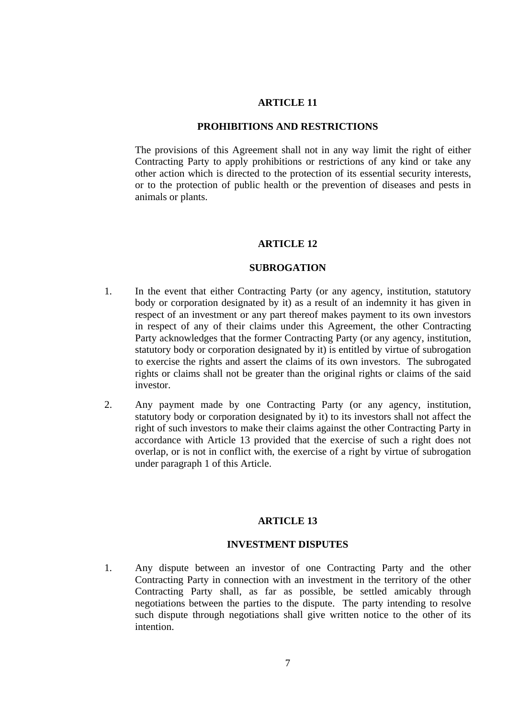# **PROHIBITIONS AND RESTRICTIONS**

 The provisions of this Agreement shall not in any way limit the right of either Contracting Party to apply prohibitions or restrictions of any kind or take any other action which is directed to the protection of its essential security interests, or to the protection of public health or the prevention of diseases and pests in animals or plants.

### **ARTICLE 12**

#### **SUBROGATION**

- 1. In the event that either Contracting Party (or any agency, institution, statutory body or corporation designated by it) as a result of an indemnity it has given in respect of an investment or any part thereof makes payment to its own investors in respect of any of their claims under this Agreement, the other Contracting Party acknowledges that the former Contracting Party (or any agency, institution, statutory body or corporation designated by it) is entitled by virtue of subrogation to exercise the rights and assert the claims of its own investors. The subrogated rights or claims shall not be greater than the original rights or claims of the said investor.
- 2. Any payment made by one Contracting Party (or any agency, institution, statutory body or corporation designated by it) to its investors shall not affect the right of such investors to make their claims against the other Contracting Party in accordance with Article 13 provided that the exercise of such a right does not overlap, or is not in conflict with, the exercise of a right by virtue of subrogation under paragraph 1 of this Article.

# **ARTICLE 13**

#### **INVESTMENT DISPUTES**

1. Any dispute between an investor of one Contracting Party and the other Contracting Party in connection with an investment in the territory of the other Contracting Party shall, as far as possible, be settled amicably through negotiations between the parties to the dispute. The party intending to resolve such dispute through negotiations shall give written notice to the other of its intention.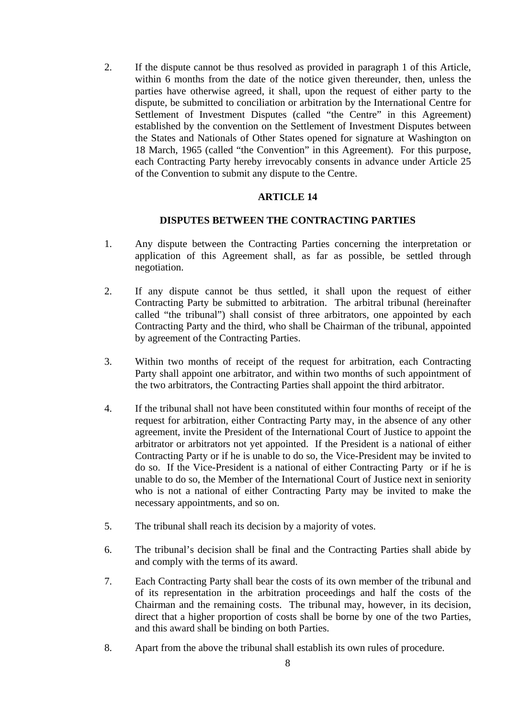2. If the dispute cannot be thus resolved as provided in paragraph 1 of this Article, within 6 months from the date of the notice given thereunder, then, unless the parties have otherwise agreed, it shall, upon the request of either party to the dispute, be submitted to conciliation or arbitration by the International Centre for Settlement of Investment Disputes (called "the Centre" in this Agreement) established by the convention on the Settlement of Investment Disputes between the States and Nationals of Other States opened for signature at Washington on 18 March, 1965 (called "the Convention" in this Agreement). For this purpose, each Contracting Party hereby irrevocably consents in advance under Article 25 of the Convention to submit any dispute to the Centre.

# **ARTICLE 14**

## **DISPUTES BETWEEN THE CONTRACTING PARTIES**

- 1. Any dispute between the Contracting Parties concerning the interpretation or application of this Agreement shall, as far as possible, be settled through negotiation.
- 2. If any dispute cannot be thus settled, it shall upon the request of either Contracting Party be submitted to arbitration. The arbitral tribunal (hereinafter called "the tribunal") shall consist of three arbitrators, one appointed by each Contracting Party and the third, who shall be Chairman of the tribunal, appointed by agreement of the Contracting Parties.
- 3. Within two months of receipt of the request for arbitration, each Contracting Party shall appoint one arbitrator, and within two months of such appointment of the two arbitrators, the Contracting Parties shall appoint the third arbitrator.
- 4. If the tribunal shall not have been constituted within four months of receipt of the request for arbitration, either Contracting Party may, in the absence of any other agreement, invite the President of the International Court of Justice to appoint the arbitrator or arbitrators not yet appointed. If the President is a national of either Contracting Party or if he is unable to do so, the Vice-President may be invited to do so. If the Vice-President is a national of either Contracting Party or if he is unable to do so, the Member of the International Court of Justice next in seniority who is not a national of either Contracting Party may be invited to make the necessary appointments, and so on.
- 5. The tribunal shall reach its decision by a majority of votes.
- 6. The tribunal's decision shall be final and the Contracting Parties shall abide by and comply with the terms of its award.
- 7. Each Contracting Party shall bear the costs of its own member of the tribunal and of its representation in the arbitration proceedings and half the costs of the Chairman and the remaining costs. The tribunal may, however, in its decision, direct that a higher proportion of costs shall be borne by one of the two Parties, and this award shall be binding on both Parties.
- 8. Apart from the above the tribunal shall establish its own rules of procedure.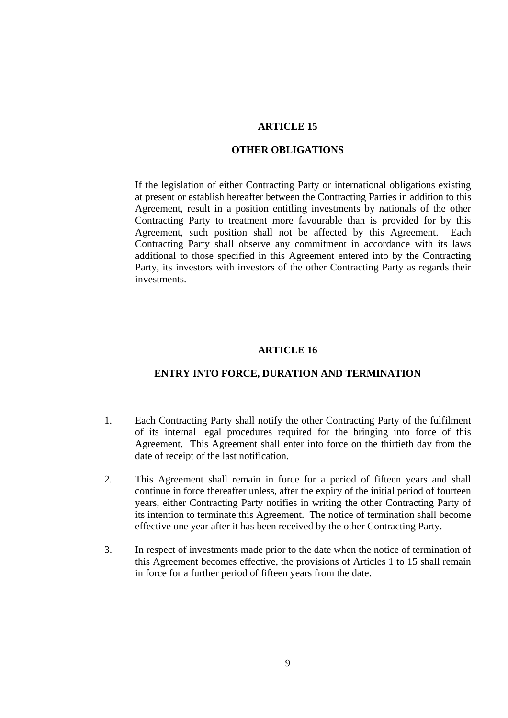# **OTHER OBLIGATIONS**

 If the legislation of either Contracting Party or international obligations existing at present or establish hereafter between the Contracting Parties in addition to this Agreement, result in a position entitling investments by nationals of the other Contracting Party to treatment more favourable than is provided for by this Agreement, such position shall not be affected by this Agreement. Each Contracting Party shall observe any commitment in accordance with its laws additional to those specified in this Agreement entered into by the Contracting Party, its investors with investors of the other Contracting Party as regards their investments.

## **ARTICLE 16**

# **ENTRY INTO FORCE, DURATION AND TERMINATION**

- 1. Each Contracting Party shall notify the other Contracting Party of the fulfilment of its internal legal procedures required for the bringing into force of this Agreement. This Agreement shall enter into force on the thirtieth day from the date of receipt of the last notification.
- 2. This Agreement shall remain in force for a period of fifteen years and shall continue in force thereafter unless, after the expiry of the initial period of fourteen years, either Contracting Party notifies in writing the other Contracting Party of its intention to terminate this Agreement. The notice of termination shall become effective one year after it has been received by the other Contracting Party.
- 3. In respect of investments made prior to the date when the notice of termination of this Agreement becomes effective, the provisions of Articles 1 to 15 shall remain in force for a further period of fifteen years from the date.